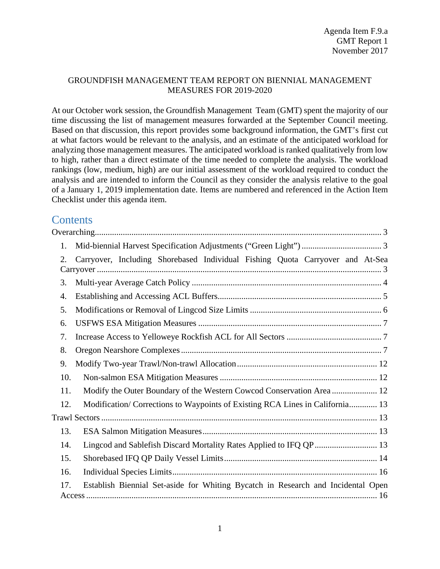### GROUNDFISH MANAGEMENT TEAM REPORT ON BIENNIAL MANAGEMENT MEASURES FOR 2019-2020

At our October work session, the Groundfish Management Team (GMT) spent the majority of our time discussing the list of management measures forwarded at the September Council meeting. Based on that discussion, this report provides some background information, the GMT's first cut at what factors would be relevant to the analysis, and an estimate of the anticipated workload for analyzing those management measures. The anticipated workload is ranked qualitatively from low to high, rather than a direct estimate of the time needed to complete the analysis. The workload rankings (low, medium, high) are our initial assessment of the workload required to conduct the analysis and are intended to inform the Council as they consider the analysis relative to the goal of a January 1, 2019 implementation date. Items are numbered and referenced in the Action Item Checklist under this agenda item.

# **Contents**

| 1.  |                                                                                  |
|-----|----------------------------------------------------------------------------------|
| 2.  | Carryover, Including Shorebased Individual Fishing Quota Carryover and At-Sea    |
| 3.  |                                                                                  |
| 4.  |                                                                                  |
| 5.  |                                                                                  |
| 6.  |                                                                                  |
| 7.  |                                                                                  |
| 8.  |                                                                                  |
| 9.  |                                                                                  |
| 10. |                                                                                  |
| 11. | Modify the Outer Boundary of the Western Cowcod Conservation Area  12            |
| 12. | Modification/Corrections to Waypoints of Existing RCA Lines in California 13     |
|     |                                                                                  |
| 13. |                                                                                  |
| 14. | Lingcod and Sablefish Discard Mortality Rates Applied to IFQ QP  13              |
| 15. |                                                                                  |
| 16. |                                                                                  |
| 17. | Establish Biennial Set-aside for Whiting Bycatch in Research and Incidental Open |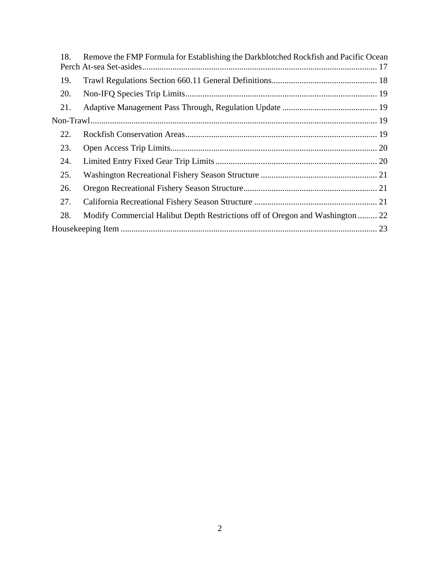| 18. | Remove the FMP Formula for Establishing the Darkblotched Rockfish and Pacific Ocean |  |
|-----|-------------------------------------------------------------------------------------|--|
|     |                                                                                     |  |
| 19. |                                                                                     |  |
| 20. |                                                                                     |  |
| 21. |                                                                                     |  |
|     |                                                                                     |  |
| 22. |                                                                                     |  |
| 23. |                                                                                     |  |
| 24. |                                                                                     |  |
| 25. |                                                                                     |  |
| 26. |                                                                                     |  |
| 27. |                                                                                     |  |
| 28. | Modify Commercial Halibut Depth Restrictions off of Oregon and Washington  22       |  |
|     |                                                                                     |  |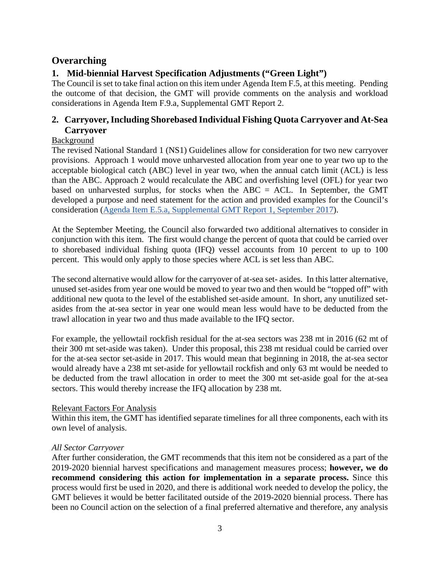# <span id="page-2-0"></span>**Overarching**

# <span id="page-2-1"></span>**1. Mid-biennial Harvest Specification Adjustments ("Green Light")**

The Council is set to take final action on this item under Agenda Item F.5, at this meeting. Pending the outcome of that decision, the GMT will provide comments on the analysis and workload considerations in Agenda Item F.9.a, Supplemental GMT Report 2.

# <span id="page-2-2"></span>**2. Carryover, Including Shorebased Individual Fishing Quota Carryover and At-Sea Carryover**

# Background

The revised National Standard 1 (NS1) Guidelines allow for consideration for two new carryover provisions. Approach 1 would move unharvested allocation from year one to year two up to the acceptable biological catch (ABC) level in year two, when the annual catch limit (ACL) is less than the ABC. Approach 2 would recalculate the ABC and overfishing level (OFL) for year two based on unharvested surplus, for stocks when the ABC = ACL. In September, the GMT developed a purpose and need statement for the action and provided examples for the Council's consideration [\(Agenda Item E.5.a, Supplemental GMT Report 1, September 2017\)](http://www.pcouncil.org/wp-content/uploads/2017/09/E5a_Sup_GMT_Rpt1_SEPT2017BB.pdf).

At the September Meeting, the Council also forwarded two additional alternatives to consider in conjunction with this item. The first would change the percent of quota that could be carried over to shorebased individual fishing quota (IFQ) vessel accounts from 10 percent to up to 100 percent. This would only apply to those species where ACL is set less than ABC.

The second alternative would allow for the carryover of at-sea set- asides. In this latter alternative, unused set-asides from year one would be moved to year two and then would be "topped off" with additional new quota to the level of the established set-aside amount. In short, any unutilized setasides from the at-sea sector in year one would mean less would have to be deducted from the trawl allocation in year two and thus made available to the IFQ sector.

For example, the yellowtail rockfish residual for the at-sea sectors was 238 mt in 2016 (62 mt of their 300 mt set-aside was taken). Under this proposal, this 238 mt residual could be carried over for the at-sea sector set-aside in 2017. This would mean that beginning in 2018, the at-sea sector would already have a 238 mt set-aside for yellowtail rockfish and only 63 mt would be needed to be deducted from the trawl allocation in order to meet the 300 mt set-aside goal for the at-sea sectors. This would thereby increase the IFQ allocation by 238 mt.

# Relevant Factors For Analysis

Within this item, the GMT has identified separate timelines for all three components, each with its own level of analysis.

# *All Sector Carryover*

After further consideration, the GMT recommends that this item not be considered as a part of the 2019-2020 biennial harvest specifications and management measures process; **however, we do recommend considering this action for implementation in a separate process.** Since this process would first be used in 2020, and there is additional work needed to develop the policy, the GMT believes it would be better facilitated outside of the 2019-2020 biennial process. There has been no Council action on the selection of a final preferred alternative and therefore, any analysis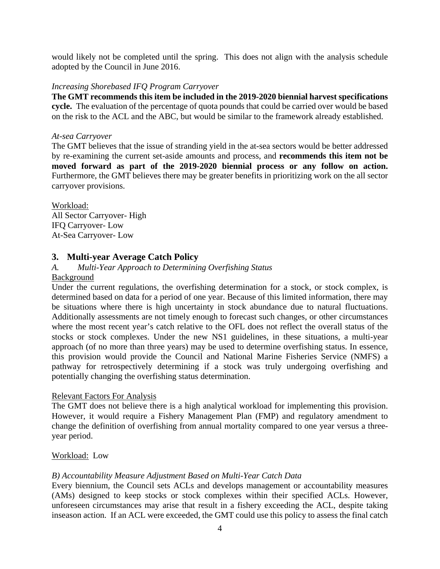would likely not be completed until the spring. This does not align with the analysis schedule adopted by the Council in June 2016.

### *Increasing Shorebased IFQ Program Carryover*

**The GMT recommends this item be included in the 2019-2020 biennial harvest specifications cycle.** The evaluation of the percentage of quota pounds that could be carried over would be based on the risk to the ACL and the ABC, but would be similar to the framework already established.

### *At-sea Carryover*

The GMT believes that the issue of stranding yield in the at-sea sectors would be better addressed by re-examining the current set-aside amounts and process, and **recommends this item not be moved forward as part of the 2019-2020 biennial process or any follow on action.**  Furthermore, the GMT believes there may be greater benefits in prioritizing work on the all sector carryover provisions.

Workload: All Sector Carryover- High IFQ Carryover- Low At-Sea Carryover- Low

# <span id="page-3-0"></span>**3. Multi-year Average Catch Policy**

### *A. Multi-Year Approach to Determining Overfishing Status*

#### Background

Under the current regulations, the overfishing determination for a stock, or stock complex, is determined based on data for a period of one year. Because of this limited information, there may be situations where there is high uncertainty in stock abundance due to natural fluctuations. Additionally assessments are not timely enough to forecast such changes, or other circumstances where the most recent year's catch relative to the OFL does not reflect the overall status of the stocks or stock complexes. Under the new NS1 guidelines, in these situations, a multi-year approach (of no more than three years) may be used to determine overfishing status. In essence, this provision would provide the Council and National Marine Fisheries Service (NMFS) a pathway for retrospectively determining if a stock was truly undergoing overfishing and potentially changing the overfishing status determination.

### Relevant Factors For Analysis

The GMT does not believe there is a high analytical workload for implementing this provision. However, it would require a Fishery Management Plan (FMP) and regulatory amendment to change the definition of overfishing from annual mortality compared to one year versus a threeyear period.

### Workload: Low

# *B) Accountability Measure Adjustment Based on Multi-Year Catch Data*

Every biennium, the Council sets ACLs and develops management or accountability measures (AMs) designed to keep stocks or stock complexes within their specified ACLs. However, unforeseen circumstances may arise that result in a fishery exceeding the ACL, despite taking inseason action. If an ACL were exceeded, the GMT could use this policy to assess the final catch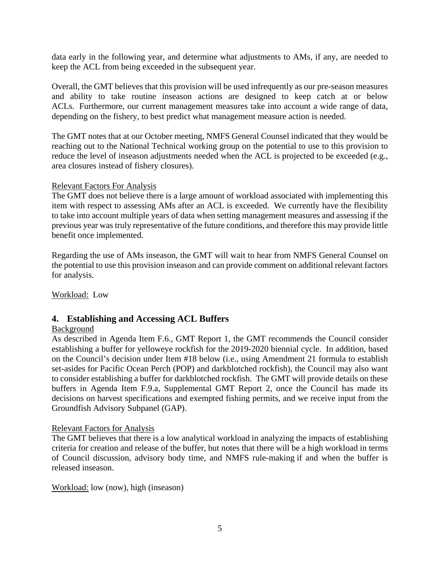data early in the following year, and determine what adjustments to AMs, if any, are needed to keep the ACL from being exceeded in the subsequent year.

Overall, the GMT believes that this provision will be used infrequently as our pre-season measures and ability to take routine inseason actions are designed to keep catch at or below ACLs. Furthermore, our current management measures take into account a wide range of data, depending on the fishery, to best predict what management measure action is needed.

The GMT notes that at our October meeting, NMFS General Counsel indicated that they would be reaching out to the National Technical working group on the potential to use to this provision to reduce the level of inseason adjustments needed when the ACL is projected to be exceeded (e.g., area closures instead of fishery closures).

### Relevant Factors For Analysis

The GMT does not believe there is a large amount of workload associated with implementing this item with respect to assessing AMs after an ACL is exceeded. We currently have the flexibility to take into account multiple years of data when setting management measures and assessing if the previous year was truly representative of the future conditions, and therefore this may provide little benefit once implemented.

Regarding the use of AMs inseason, the GMT will wait to hear from NMFS General Counsel on the potential to use this provision inseason and can provide comment on additional relevant factors for analysis.

Workload: Low

# <span id="page-4-0"></span>**4. Establishing and Accessing ACL Buffers**

### Background

As described in Agenda Item F.6., GMT Report 1, the GMT recommends the Council consider establishing a buffer for yelloweye rockfish for the 2019-2020 biennial cycle. In addition, based on the Council's decision under Item #18 below (i.e., using Amendment 21 formula to establish set-asides for Pacific Ocean Perch (POP) and darkblotched rockfish), the Council may also want to consider establishing a buffer for darkblotched rockfish. The GMT will provide details on these buffers in Agenda Item F.9.a, Supplemental GMT Report 2, once the Council has made its decisions on harvest specifications and exempted fishing permits, and we receive input from the Groundfish Advisory Subpanel (GAP).

### Relevant Factors for Analysis

The GMT believes that there is a low analytical workload in analyzing the impacts of establishing criteria for creation and release of the buffer, but notes that there will be a high workload in terms of Council discussion, advisory body time, and NMFS rule-making if and when the buffer is released inseason.

Workload: low (now), high (inseason)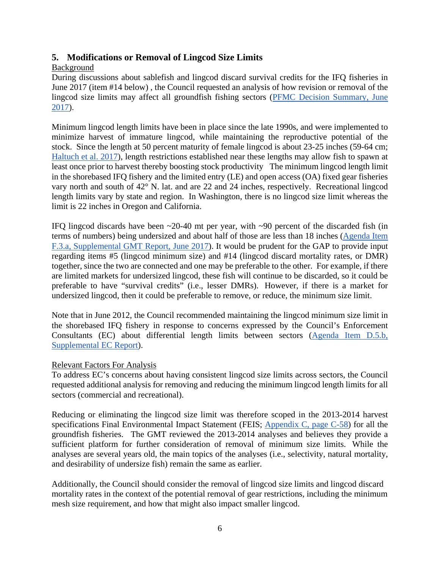# <span id="page-5-0"></span>**5. Modifications or Removal of Lingcod Size Limits**

# Background

During discussions about sablefish and lingcod discard survival credits for the IFQ fisheries in June 2017 (item #14 below) , the Council requested an analysis of how revision or removal of the lingcod size limits may affect all groundfish fishing sectors [\(PFMC Decision Summary, June](https://www.pcouncil.org/wp-content/uploads/2017/06/JuneDecisionSummaryDocument.pdf)  [2017\)](https://www.pcouncil.org/wp-content/uploads/2017/06/JuneDecisionSummaryDocument.pdf).

Minimum lingcod length limits have been in place since the late 1990s, and were implemented to minimize harvest of immature lingcod, while maintaining the reproductive potential of the stock. Since the length at 50 percent maturity of female lingcod is about 23-25 inches (59-64 cm; [Haltuch et al. 2017\)](https://www.pcouncil.org/wp-content/uploads/2017/08/E8_Att1_Lingcod_FullDoc_E-Only_SEPT2017BB.pdf), length restrictions established near these lengths may allow fish to spawn at least once prior to harvest thereby boosting stock productivity The minimum lingcod length limit in the shorebased IFQ fishery and the limited entry (LE) and open access (OA) fixed gear fisheries vary north and south of 42° N. lat. and are 22 and 24 inches, respectively. Recreational lingcod length limits vary by state and region. In Washington, there is no lingcod size limit whereas the limit is 22 inches in Oregon and California.

IFQ lingcod discards have been  $\sim$ 20-40 mt per year, with  $\sim$ 90 percent of the discarded fish (in terms of numbers) being undersized and about half of those are less than 18 inches [\(Agenda Item](https://www.pcouncil.org/wp-content/uploads/2017/06/F3a_Sup_GMT_Rpt_Jun2017BB.pdf)  [F.3.a, Supplemental GMT Report, June 2017\)](https://www.pcouncil.org/wp-content/uploads/2017/06/F3a_Sup_GMT_Rpt_Jun2017BB.pdf). It would be prudent for the GAP to provide input regarding items #5 (lingcod minimum size) and #14 (lingcod discard mortality rates, or DMR) together, since the two are connected and one may be preferable to the other. For example, if there are limited markets for undersized lingcod, these fish will continue to be discarded, so it could be preferable to have "survival credits" (i.e., lesser DMRs). However, if there is a market for undersized lingcod, then it could be preferable to remove, or reduce, the minimum size limit.

Note that in June 2012, the Council recommended maintaining the lingcod minimum size limit in the shorebased IFQ fishery in response to concerns expressed by the Council's Enforcement Consultants (EC) about differential length limits between sectors [\(Agenda Item D.5.b,](http://www.pcouncil.org/wp-content/uploads/D5b_SUP_EC_JUN2012BB.pdf)  [Supplemental EC Report\)](http://www.pcouncil.org/wp-content/uploads/D5b_SUP_EC_JUN2012BB.pdf).

# Relevant Factors For Analysis

To address EC's concerns about having consistent lingcod size limits across sectors, the Council requested additional analysis for removing and reducing the minimum lingcod length limits for all sectors (commercial and recreational).

Reducing or eliminating the lingcod size limit was therefore scoped in the 2013-2014 harvest specifications Final Environmental Impact Statement (FEIS; [Appendix C, page C-58\)](https://www.pcouncil.org/wp-content/uploads/September_2012_AppendixC_13-14_FEIS_SPEX.pdf) for all the groundfish fisheries. The GMT reviewed the 2013-2014 analyses and believes they provide a sufficient platform for further consideration of removal of minimum size limits. While the analyses are several years old, the main topics of the analyses (i.e., selectivity, natural mortality, and desirability of undersize fish) remain the same as earlier.

Additionally, the Council should consider the removal of lingcod size limits and lingcod discard mortality rates in the context of the potential removal of gear restrictions, including the minimum mesh size requirement, and how that might also impact smaller lingcod.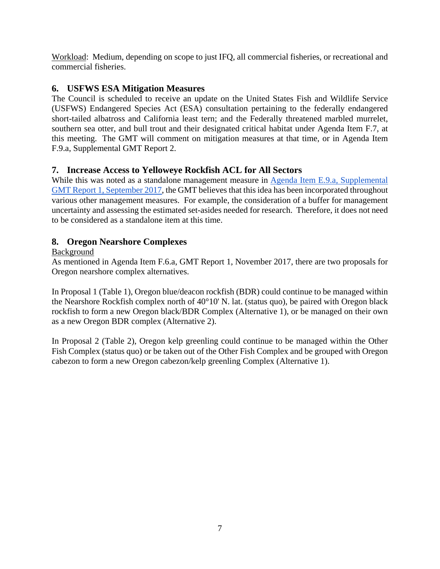Workload: Medium, depending on scope to just IFQ, all commercial fisheries, or recreational and commercial fisheries.

# <span id="page-6-0"></span>**6. USFWS ESA Mitigation Measures**

The Council is scheduled to receive an update on the United States Fish and Wildlife Service (USFWS) Endangered Species Act (ESA) consultation pertaining to the federally endangered short-tailed albatross and California least tern; and the Federally threatened marbled murrelet, southern sea otter, and bull trout and their designated critical habitat under Agenda Item F.7, at this meeting. The GMT will comment on mitigation measures at that time, or in Agenda Item F.9.a, Supplemental GMT Report 2.

# <span id="page-6-1"></span>**7. Increase Access to Yelloweye Rockfish ACL for All Sectors**

While this was noted as a standalone management measure in Agenda Item E.9.a, Supplemental [GMT Report 1, September 2017,](https://www.pcouncil.org/wp-content/uploads/2017/09/E9a_Sup_GMT_Rpt1_SEPT2017BB.pdf) the GMT believes that this idea has been incorporated throughout various other management measures. For example, the consideration of a buffer for management uncertainty and assessing the estimated set-asides needed for research. Therefore, it does not need to be considered as a standalone item at this time.

# <span id="page-6-2"></span>**8. Oregon Nearshore Complexes**

# Background

As mentioned in Agenda Item F.6.a, GMT Report 1, November 2017, there are two proposals for Oregon nearshore complex alternatives.

In Proposal 1 [\(Table 1\)](#page-7-0), Oregon blue/deacon rockfish (BDR) could continue to be managed within the Nearshore Rockfish complex north of 40°10' N. lat. (status quo), be paired with Oregon black rockfish to form a new Oregon black/BDR Complex (Alternative 1), or be managed on their own as a new Oregon BDR complex (Alternative 2).

In Proposal 2 [\(Table 2\)](#page-7-1), Oregon kelp greenling could continue to be managed within the Other Fish Complex (status quo) or be taken out of the Other Fish Complex and be grouped with Oregon cabezon to form a new Oregon cabezon/kelp greenling Complex (Alternative 1).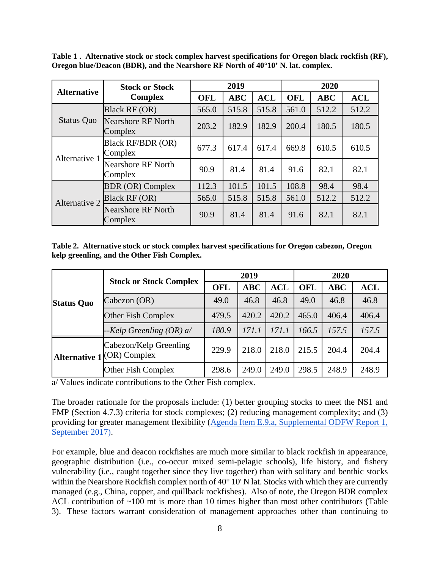<span id="page-7-0"></span>**Table 1 . Alternative stock or stock complex harvest specifications for Oregon black rockfish (RF), Oregon blue/Deacon (BDR), and the Nearshore RF North of 40°10' N. lat. complex.**

| <b>Alternative</b> | <b>Stock or Stock</b>                |            | 2019       |            | 2020       |       |            |  |
|--------------------|--------------------------------------|------------|------------|------------|------------|-------|------------|--|
|                    | <b>Complex</b>                       | <b>OFL</b> | <b>ABC</b> | <b>ACL</b> | <b>OFL</b> | ABC   | <b>ACL</b> |  |
|                    | <b>Black RF (OR)</b>                 | 565.0      | 515.8      | 515.8      | 561.0      | 512.2 | 512.2      |  |
| <b>Status Quo</b>  | <b>Nearshore RF North</b><br>Complex | 203.2      | 182.9      | 182.9      | 200.4      | 180.5 | 180.5      |  |
| Alternative 1      | <b>Black RF/BDR (OR)</b><br>Complex  | 677.3      | 617.4      | 617.4      | 669.8      | 610.5 | 610.5      |  |
|                    | <b>Nearshore RF North</b><br>Complex | 90.9       | 81.4       | 81.4       | 91.6       | 82.1  | 82.1       |  |
|                    | <b>BDR</b> (OR) Complex              | 112.3      | 101.5      | 101.5      | 108.8      | 98.4  | 98.4       |  |
| Alternative 2      | Black RF (OR)                        | 565.0      | 515.8      | 515.8      | 561.0      | 512.2 | 512.2      |  |
|                    | <b>Nearshore RF North</b><br>Complex | 90.9       | 81.4       | 81.4       | 91.6       | 82.1  | 82.1       |  |

<span id="page-7-1"></span>**Table 2. Alternative stock or stock complex harvest specifications for Oregon cabezon, Oregon kelp greenling, and the Other Fish Complex.**

|                   |                                                      |            | 2019       |            | 2020       |       |            |  |
|-------------------|------------------------------------------------------|------------|------------|------------|------------|-------|------------|--|
| <b>Status Quo</b> | <b>Stock or Stock Complex</b>                        | <b>OFL</b> | <b>ABC</b> | <b>ACL</b> | <b>OFL</b> | ABC   | <b>ACL</b> |  |
|                   | Cabezon (OR)                                         | 49.0       | 46.8       | 46.8       | 49.0       | 46.8  | 46.8       |  |
|                   | Other Fish Complex                                   | 479.5      | 420.2      | 420.2      | 465.0      | 406.4 | 406.4      |  |
|                   | $-$ Kelp Greenling (OR) a/                           | 180.9      | 171.1      | 171.1      | 166.5      | 157.5 | 157.5      |  |
|                   | Cabezon/Kelp Greenling<br>Alternative 1 (OR) Complex | 229.9      | 218.0      | 218.0      | 215.5      | 204.4 | 204.4      |  |
|                   | Other Fish Complex                                   | 298.6      | 249.0      | 249.0      | 298.5      | 248.9 | 248.9      |  |

a/ Values indicate contributions to the Other Fish complex.

The broader rationale for the proposals include: (1) better grouping stocks to meet the NS1 and FMP (Section 4.7.3) criteria for stock complexes; (2) reducing management complexity; and (3) providing for greater management flexibility [\(Agenda Item E.9.a, Supplemental ODFW Report 1,](https://www.pcouncil.org/wp-content/uploads/2017/09/E9a_Sup_ODFW_Rpt1_SEPT2017BB.pdf)  [September 2017\).](https://www.pcouncil.org/wp-content/uploads/2017/09/E9a_Sup_ODFW_Rpt1_SEPT2017BB.pdf)

For example, blue and deacon rockfishes are much more similar to black rockfish in appearance, geographic distribution (i.e., co-occur mixed semi-pelagic schools), life history, and fishery vulnerability (i.e., caught together since they live together) than with solitary and benthic stocks within the Nearshore Rockfish complex north of 40° 10' N lat. Stocks with which they are currently managed (e.g., China, copper, and quillback rockfishes). Also of note, the Oregon BDR complex ACL contribution of ~100 mt is more than 10 times higher than most other contributors (Table [3\)](#page-9-0). These factors warrant consideration of management approaches other than continuing to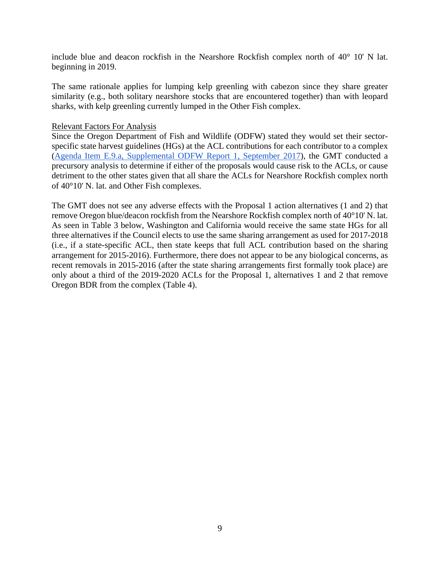include blue and deacon rockfish in the Nearshore Rockfish complex north of 40° 10' N lat. beginning in 2019.

The same rationale applies for lumping kelp greenling with cabezon since they share greater similarity (e.g., both solitary nearshore stocks that are encountered together) than with leopard sharks, with kelp greenling currently lumped in the Other Fish complex.

#### Relevant Factors For Analysis

Since the Oregon Department of Fish and Wildlife (ODFW) stated they would set their sectorspecific state harvest guidelines (HGs) at the ACL contributions for each contributor to a complex [\(Agenda Item E.9.a, Supplemental ODFW Report 1, September 2017\)](https://www.pcouncil.org/wp-content/uploads/2017/09/E9a_Sup_ODFW_Rpt1_SEPT2017BB.pdf), the GMT conducted a precursory analysis to determine if either of the proposals would cause risk to the ACLs, or cause detriment to the other states given that all share the ACLs for Nearshore Rockfish complex north of 40°10' N. lat. and Other Fish complexes.

The GMT does not see any adverse effects with the Proposal 1 action alternatives (1 and 2) that remove Oregon blue/deacon rockfish from the Nearshore Rockfish complex north of 40°10' N. lat. As seen in [Table 3](#page-9-0) below, Washington and California would receive the same state HGs for all three alternatives if the Council elects to use the same sharing arrangement as used for 2017-2018 (i.e., if a state-specific ACL, then state keeps that full ACL contribution based on the sharing arrangement for 2015-2016). Furthermore, there does not appear to be any biological concerns, as recent removals in 2015-2016 (after the state sharing arrangements first formally took place) are only about a third of the 2019-2020 ACLs for the Proposal 1, alternatives 1 and 2 that remove Oregon BDR from the complex [\(Table 4\)](#page-10-0).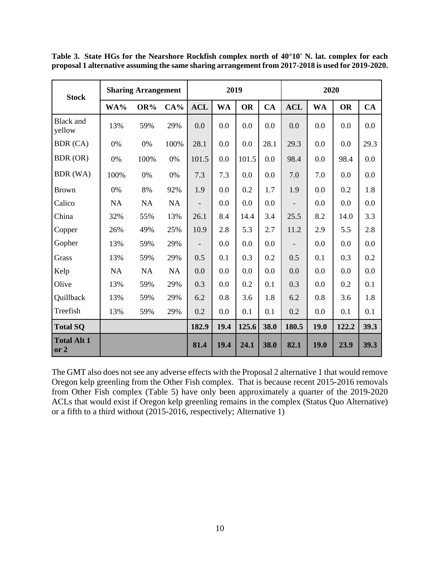| <b>Stock</b>                 | <b>Sharing Arrangement</b> |      |           | 2019                     |      |           |      | 2020       |           |           |      |
|------------------------------|----------------------------|------|-----------|--------------------------|------|-----------|------|------------|-----------|-----------|------|
|                              | WA%                        | OR%  | $CA\%$    | <b>ACL</b>               | WA   | <b>OR</b> | CA   | <b>ACL</b> | <b>WA</b> | <b>OR</b> | CA   |
| <b>Black</b> and<br>yellow   | 13%                        | 59%  | 29%       | 0.0                      | 0.0  | 0.0       | 0.0  | 0.0        | 0.0       | 0.0       | 0.0  |
| BDR (CA)                     | 0%                         | 0%   | 100%      | 28.1                     | 0.0  | 0.0       | 28.1 | 29.3       | 0.0       | 0.0       | 29.3 |
| BDR (OR)                     | 0%                         | 100% | 0%        | 101.5                    | 0.0  | 101.5     | 0.0  | 98.4       | 0.0       | 98.4      | 0.0  |
| BDR (WA)                     | 100%                       | 0%   | 0%        | 7.3                      | 7.3  | 0.0       | 0.0  | 7.0        | 7.0       | 0.0       | 0.0  |
| <b>Brown</b>                 | 0%                         | 8%   | 92%       | 1.9                      | 0.0  | 0.2       | 1.7  | 1.9        | 0.0       | 0.2       | 1.8  |
| Calico                       | <b>NA</b>                  | NA   | NA        |                          | 0.0  | 0.0       | 0.0  |            | 0.0       | 0.0       | 0.0  |
| China                        | 32%                        | 55%  | 13%       | 26.1                     | 8.4  | 14.4      | 3.4  | 25.5       | 8.2       | 14.0      | 3.3  |
| Copper                       | 26%                        | 49%  | 25%       | 10.9                     | 2.8  | 5.3       | 2.7  | 11.2       | 2.9       | 5.5       | 2.8  |
| Gopher                       | 13%                        | 59%  | 29%       | $\overline{\phantom{0}}$ | 0.0  | 0.0       | 0.0  |            | 0.0       | 0.0       | 0.0  |
| Grass                        | 13%                        | 59%  | 29%       | 0.5                      | 0.1  | 0.3       | 0.2  | 0.5        | 0.1       | 0.3       | 0.2  |
| Kelp                         | NA                         | NA   | <b>NA</b> | 0.0                      | 0.0  | 0.0       | 0.0  | 0.0        | 0.0       | 0.0       | 0.0  |
| Olive                        | 13%                        | 59%  | 29%       | 0.3                      | 0.0  | 0.2       | 0.1  | 0.3        | 0.0       | 0.2       | 0.1  |
| Quillback                    | 13%                        | 59%  | 29%       | 6.2                      | 0.8  | 3.6       | 1.8  | 6.2        | 0.8       | 3.6       | 1.8  |
| Treefish                     | 13%                        | 59%  | 29%       | 0.2                      | 0.0  | 0.1       | 0.1  | 0.2        | 0.0       | 0.1       | 0.1  |
| <b>Total SQ</b>              |                            |      |           | 182.9                    | 19.4 | 125.6     | 38.0 | 180.5      | 19.0      | 122.2     | 39.3 |
| <b>Total Alt 1</b><br>or $2$ |                            |      |           | 81.4                     | 19.4 | 24.1      | 38.0 | 82.1       | 19.0      | 23.9      | 39.3 |

<span id="page-9-0"></span>**Table 3. State HGs for the Nearshore Rockfish complex north of 40°10' N. lat. complex for each proposal 1 alternative assuming the same sharing arrangement from 2017-2018 is used for 2019-2020.**

The GMT also does not see any adverse effects with the Proposal 2 alternative 1 that would remove Oregon kelp greenling from the Other Fish complex. That is because recent 2015-2016 removals from Other Fish complex [\(Table 5\)](#page-10-1) have only been approximately a quarter of the 2019-2020 ACLs that would exist if Oregon kelp greenling remains in the complex (Status Quo Alternative) or a fifth to a third without (2015-2016, respectively; Alternative 1)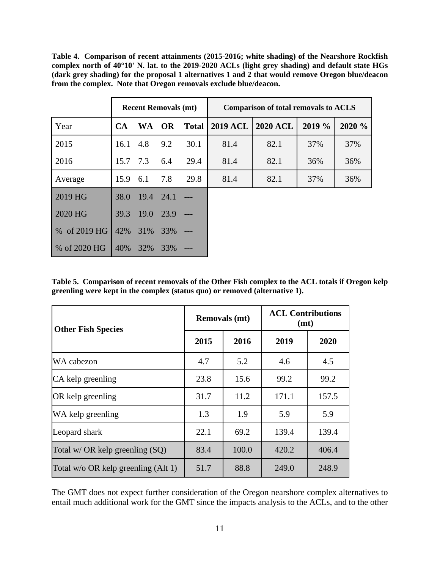<span id="page-10-0"></span>**Table 4. Comparison of recent attainments (2015-2016; white shading) of the Nearshore Rockfish complex north of 40°10' N. lat. to the 2019-2020 ACLs (light grey shading) and default state HGs (dark grey shading) for the proposal 1 alternatives 1 and 2 that would remove Oregon blue/deacon from the complex. Note that Oregon removals exclude blue/deacon.** 

|                    | <b>Recent Removals (mt)</b> |           |           |              | <b>Comparison of total removals to ACLS</b> |                 |        |        |  |  |
|--------------------|-----------------------------|-----------|-----------|--------------|---------------------------------------------|-----------------|--------|--------|--|--|
| Year               | <b>CA</b>                   | <b>WA</b> | <b>OR</b> | <b>Total</b> | 2019 ACL                                    | <b>2020 ACL</b> | 2019 % | 2020 % |  |  |
| 2015               | 16.1                        | 4.8       | 9.2       | 30.1         | 81.4                                        | 82.1            | 37%    | 37%    |  |  |
| 2016               | 15.7                        | 7.3       | 6.4       | 29.4         | 81.4                                        | 82.1            | 36%    | 36%    |  |  |
| Average            | 15.9                        | 6.1       | 7.8       | 29.8         | 81.4                                        | 82.1            | 37%    | 36%    |  |  |
| 2019 HG            | 38.0                        | 19.4      | 24.1      |              |                                             |                 |        |        |  |  |
| 2020 HG            | 39.3                        | 19.0      | 23.9      |              |                                             |                 |        |        |  |  |
| of 2019 HG<br>$\%$ | 42%                         | 31%       | 33%       |              |                                             |                 |        |        |  |  |
| % of 2020 HG       | 40%                         | 32%       | 33%       |              |                                             |                 |        |        |  |  |

<span id="page-10-1"></span>**Table 5. Comparison of recent removals of the Other Fish complex to the ACL totals if Oregon kelp greenling were kept in the complex (status quo) or removed (alternative 1).** 

| <b>Other Fish Species</b>             |      | <b>Removals</b> (mt) | <b>ACL Contributions</b><br>(mt) |       |  |
|---------------------------------------|------|----------------------|----------------------------------|-------|--|
|                                       | 2015 | 2016                 | 2019                             | 2020  |  |
| WA cabezon                            | 4.7  | 5.2                  | 4.6                              | 4.5   |  |
| CA kelp greenling                     | 23.8 | 15.6                 | 99.2                             | 99.2  |  |
| OR kelp greenling                     | 31.7 | 11.2                 | 171.1                            | 157.5 |  |
| WA kelp greenling                     | 1.3  | 1.9                  | 5.9                              | 5.9   |  |
| Leopard shark                         | 22.1 | 69.2                 | 139.4                            | 139.4 |  |
| Total w/ OR kelp greenling $(SQ)$     | 83.4 | 100.0                | 420.2                            | 406.4 |  |
| Total $w/o$ OR kelp greenling (Alt 1) | 51.7 | 88.8                 | 249.0                            | 248.9 |  |

The GMT does not expect further consideration of the Oregon nearshore complex alternatives to entail much additional work for the GMT since the impacts analysis to the ACLs, and to the other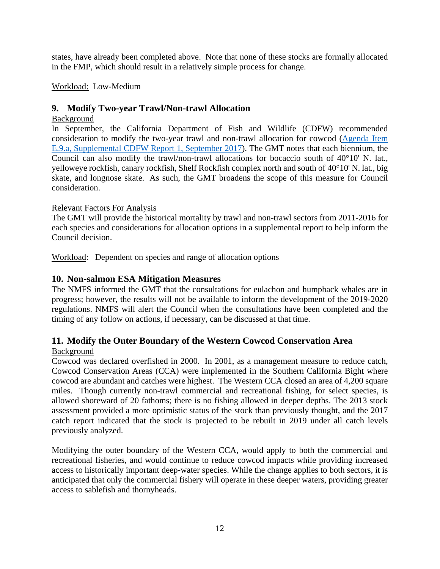states, have already been completed above. Note that none of these stocks are formally allocated in the FMP, which should result in a relatively simple process for change.

Workload: Low-Medium

# <span id="page-11-0"></span>**9. Modify Two-year Trawl/Non-trawl Allocation**

# Background

In September, the California Department of Fish and Wildlife (CDFW) recommended consideration to modify the two-year trawl and non-trawl allocation for cowcod [\(Agenda Item](http://www.pcouncil.org/wp-content/uploads/2017/09/E9a_Sup_CDFW_Rpt1_Spex_SEPT2017BB.pdf)  [E.9.a, Supplemental CDFW Report 1, September 2017\)](http://www.pcouncil.org/wp-content/uploads/2017/09/E9a_Sup_CDFW_Rpt1_Spex_SEPT2017BB.pdf). The GMT notes that each biennium, the Council can also modify the trawl/non-trawl allocations for bocaccio south of 40°10' N. lat., yelloweye rockfish, canary rockfish, Shelf Rockfish complex north and south of 40°10' N. lat., big skate, and longnose skate. As such, the GMT broadens the scope of this measure for Council consideration.

# Relevant Factors For Analysis

The GMT will provide the historical mortality by trawl and non-trawl sectors from 2011-2016 for each species and considerations for allocation options in a supplemental report to help inform the Council decision.

Workload: Dependent on species and range of allocation options

# <span id="page-11-1"></span>**10. Non-salmon ESA Mitigation Measures**

The NMFS informed the GMT that the consultations for eulachon and humpback whales are in progress; however, the results will not be available to inform the development of the 2019-2020 regulations. NMFS will alert the Council when the consultations have been completed and the timing of any follow on actions, if necessary, can be discussed at that time.

# <span id="page-11-2"></span>**11. Modify the Outer Boundary of the Western Cowcod Conservation Area**

# **Background**

Cowcod was declared overfished in 2000. In 2001, as a management measure to reduce catch, Cowcod Conservation Areas (CCA) were implemented in the Southern California Bight where cowcod are abundant and catches were highest. The Western CCA closed an area of 4,200 square miles. Though currently non-trawl commercial and recreational fishing, for select species, is allowed shoreward of 20 fathoms; there is no fishing allowed in deeper depths. The 2013 stock assessment provided a more optimistic status of the stock than previously thought, and the 2017 catch report indicated that the stock is projected to be rebuilt in 2019 under all catch levels previously analyzed.

Modifying the outer boundary of the Western CCA, would apply to both the commercial and recreational fisheries, and would continue to reduce cowcod impacts while providing increased access to historically important deep-water species. While the change applies to both sectors, it is anticipated that only the commercial fishery will operate in these deeper waters, providing greater access to sablefish and thornyheads.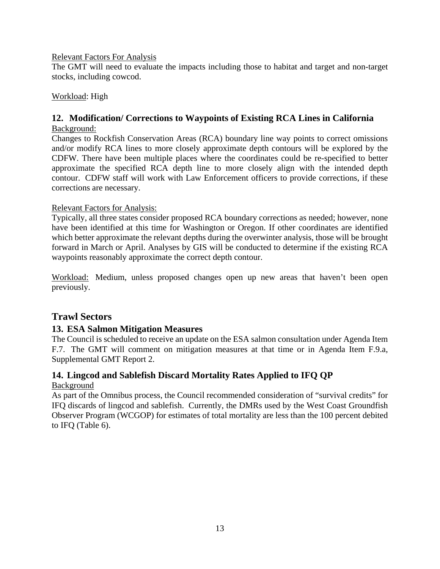### Relevant Factors For Analysis

The GMT will need to evaluate the impacts including those to habitat and target and non-target stocks, including cowcod.

### Workload: High

# <span id="page-12-0"></span>**12. Modification/ Corrections to Waypoints of Existing RCA Lines in California**

### Background:

Changes to Rockfish Conservation Areas (RCA) boundary line way points to correct omissions and/or modify RCA lines to more closely approximate depth contours will be explored by the CDFW. There have been multiple places where the coordinates could be re-specified to better approximate the specified RCA depth line to more closely align with the intended depth contour. CDFW staff will work with Law Enforcement officers to provide corrections, if these corrections are necessary.

### Relevant Factors for Analysis:

Typically, all three states consider proposed RCA boundary corrections as needed; however, none have been identified at this time for Washington or Oregon. If other coordinates are identified which better approximate the relevant depths during the overwinter analysis, those will be brought forward in March or April. Analyses by GIS will be conducted to determine if the existing RCA waypoints reasonably approximate the correct depth contour.

Workload: Medium, unless proposed changes open up new areas that haven't been open previously.

# <span id="page-12-1"></span>**Trawl Sectors**

# <span id="page-12-2"></span>**13. ESA Salmon Mitigation Measures**

The Council is scheduled to receive an update on the ESA salmon consultation under Agenda Item F.7. The GMT will comment on mitigation measures at that time or in Agenda Item F.9.a, Supplemental GMT Report 2.

# <span id="page-12-3"></span>**14. Lingcod and Sablefish Discard Mortality Rates Applied to IFQ QP**

### Background

As part of the Omnibus process, the Council recommended consideration of "survival credits" for IFQ discards of lingcod and sablefish. Currently, the DMRs used by the West Coast Groundfish Observer Program (WCGOP) for estimates of total mortality are less than the 100 percent debited to IFQ [\(Table 6\)](#page-13-1).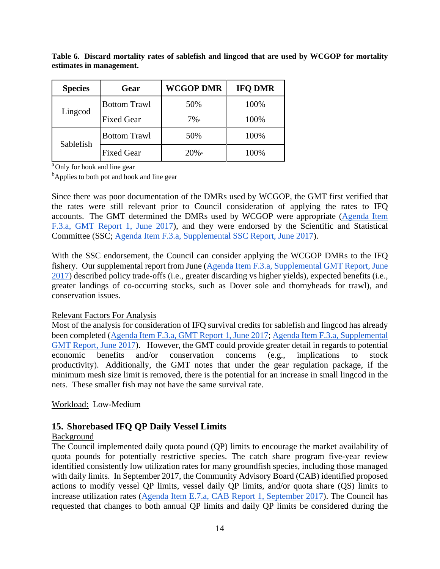| <b>Species</b> | Gear                | <b>WCGOP DMR</b>   | <b>IFQ DMR</b> |
|----------------|---------------------|--------------------|----------------|
| Lingcod        | <b>Bottom Trawl</b> | 50%                | 100%           |
|                | <b>Fixed Gear</b>   | $7\%$ <sup>a</sup> | 100%           |
|                | <b>Bottom Trawl</b> | 50%                | 100%           |
| Sablefish      | <b>Fixed Gear</b>   | $20\%$             | 100%           |

<span id="page-13-1"></span>**Table 6. Discard mortality rates of sablefish and lingcod that are used by WCGOP for mortality estimates in management.**

<sup>a</sup>Only for hook and line gear

<sup>b</sup>Applies to both pot and hook and line gear

Since there was poor documentation of the DMRs used by WCGOP, the GMT first verified that the rates were still relevant prior to Council consideration of applying the rates to IFQ accounts. The GMT determined the DMRs used by WCGOP were appropriate [\(Agenda Item](https://www.pcouncil.org/wp-content/uploads/2017/05/F3a_GMT_Rpt1_DiscardMortality_JUNE2017BB.pdf)  [F.3.a, GMT Report 1, June 2017\)](https://www.pcouncil.org/wp-content/uploads/2017/05/F3a_GMT_Rpt1_DiscardMortality_JUNE2017BB.pdf), and they were endorsed by the Scientific and Statistical Committee (SSC; [Agenda Item F.3.a, Supplemental SSC Report, June 2017\)](https://www.pcouncil.org/wp-content/uploads/2017/06/F3a_Sup_SSC_Rpt_DiscardCredits_June2017BB.pdf).

With the SSC endorsement, the Council can consider applying the WCGOP DMRs to the IFQ fishery. Our supplemental report from June [\(Agenda Item F.3.a, Supplemental GMT Report, June](https://www.pcouncil.org/wp-content/uploads/2017/06/F3a_Sup_GMT_Rpt_Jun2017BB.pdf)  [2017\)](https://www.pcouncil.org/wp-content/uploads/2017/06/F3a_Sup_GMT_Rpt_Jun2017BB.pdf) described policy trade-offs (i.e., greater discarding vs higher yields), expected benefits (i.e., greater landings of co-occurring stocks, such as Dover sole and thornyheads for trawl), and conservation issues.

### Relevant Factors For Analysis

Most of the analysis for consideration of IFQ survival credits for sablefish and lingcod has already been completed [\(Agenda Item F.3.a, GMT Report 1, June 2017;](https://www.pcouncil.org/wp-content/uploads/2017/05/F3a_GMT_Rpt1_DiscardMortality_JUNE2017BB.pdf) [Agenda Item F.3.a, Supplemental](https://www.pcouncil.org/wp-content/uploads/2017/06/F3a_Sup_GMT_Rpt_Jun2017BB.pdf)  [GMT Report, June 2017\)](https://www.pcouncil.org/wp-content/uploads/2017/06/F3a_Sup_GMT_Rpt_Jun2017BB.pdf). However, the GMT could provide greater detail in regards to potential economic benefits and/or conservation concerns (e.g., implications to stock productivity). Additionally, the GMT notes that under the gear regulation package, if the minimum mesh size limit is removed, there is the potential for an increase in small lingcod in the nets. These smaller fish may not have the same survival rate.

Workload: Low-Medium

# <span id="page-13-0"></span>**15. Shorebased IFQ QP Daily Vessel Limits**

### Background

The Council implemented daily quota pound (QP) limits to encourage the market availability of quota pounds for potentially restrictive species. The catch share program five-year review identified consistently low utilization rates for many groundfish species, including those managed with daily limits. In September 2017, the Community Advisory Board (CAB) identified proposed actions to modify vessel QP limits, vessel daily QP limits, and/or quota share (QS) limits to increase utilization rates [\(Agenda Item E.7.a, CAB Report 1, September 2017\)](https://www.pcouncil.org/wp-content/uploads/2017/08/E7a_CAB_Rpt1_SEPT2017BB.pdf). The Council has requested that changes to both annual QP limits and daily QP limits be considered during the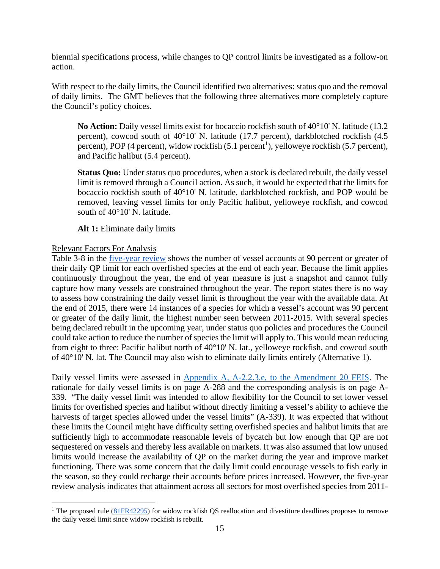biennial specifications process, while changes to QP control limits be investigated as a follow-on action.

With respect to the daily limits, the Council identified two alternatives: status quo and the removal of daily limits. The GMT believes that the following three alternatives more completely capture the Council's policy choices.

**No Action:** Daily vessel limits exist for bocaccio rockfish south of 40°10' N. latitude (13.2 percent), cowcod south of 40°10' N. latitude (17.7 percent), darkblotched rockfish (4.5 percent), POP (4 percent), widow rockfish  $(5.1 \text{ percent}^1)$  $(5.1 \text{ percent}^1)$  $(5.1 \text{ percent}^1)$ , yelloweye rockfish  $(5.7 \text{ percent})$ , and Pacific halibut (5.4 percent).

**Status Quo:** Under status quo procedures, when a stock is declared rebuilt, the daily vessel limit is removed through a Council action. As such, it would be expected that the limits for bocaccio rockfish south of 40°10' N. latitude, darkblotched rockfish, and POP would be removed, leaving vessel limits for only Pacific halibut, yelloweye rockfish, and cowcod south of 40°10' N. latitude.

**Alt 1:** Eliminate daily limits

### Relevant Factors For Analysis

Table 3-8 in the [five-year review](http://www.pcouncil.org/wp-content/uploads/2017/08/5_Year_Review_August_Draft_for_public_review.pdf) shows the number of vessel accounts at 90 percent or greater of their daily QP limit for each overfished species at the end of each year. Because the limit applies continuously throughout the year, the end of year measure is just a snapshot and cannot fully capture how many vessels are constrained throughout the year. The report states there is no way to assess how constraining the daily vessel limit is throughout the year with the available data. At the end of 2015, there were 14 instances of a species for which a vessel's account was 90 percent or greater of the daily limit, the highest number seen between 2011-2015. With several species being declared rebuilt in the upcoming year, under status quo policies and procedures the Council could take action to reduce the number of species the limit will apply to. This would mean reducing from eight to three: Pacific halibut north of 40°10' N. lat., yelloweye rockfish, and cowcod south of 40°10' N. lat. The Council may also wish to eliminate daily limits entirely (Alternative 1).

Daily vessel limits were assessed in [Appendix A, A-2.2.3.e, to the Amendment 20 FEIS.](https://www.pcouncil.org/wp-content/uploads/2_1005_TRatFEIS_ApdxA__IFQ.pdf) The rationale for daily vessel limits is on page A-288 and the corresponding analysis is on page A-339. "The daily vessel limit was intended to allow flexibility for the Council to set lower vessel limits for overfished species and halibut without directly limiting a vessel's ability to achieve the harvests of target species allowed under the vessel limits" (A-339). It was expected that without these limits the Council might have difficulty setting overfished species and halibut limits that are sufficiently high to accommodate reasonable levels of bycatch but low enough that QP are not sequestered on vessels and thereby less available on markets. It was also assumed that low unused limits would increase the availability of QP on the market during the year and improve market functioning. There was some concern that the daily limit could encourage vessels to fish early in the season, so they could recharge their accounts before prices increased. However, the five-year review analysis indicates that attainment across all sectors for most overfished species from 2011-

<span id="page-14-0"></span><sup>&</sup>lt;sup>1</sup> The proposed rule [\(81FR42295\)](https://www.federalregister.gov/documents/2016/06/29/2016-15217/magnuson-stevens-act-provisions-fisheries-off-west-coast-states-pacific-coast-groundfish-fishery) for widow rockfish QS reallocation and divestiture deadlines proposes to remove the daily vessel limit since widow rockfish is rebuilt.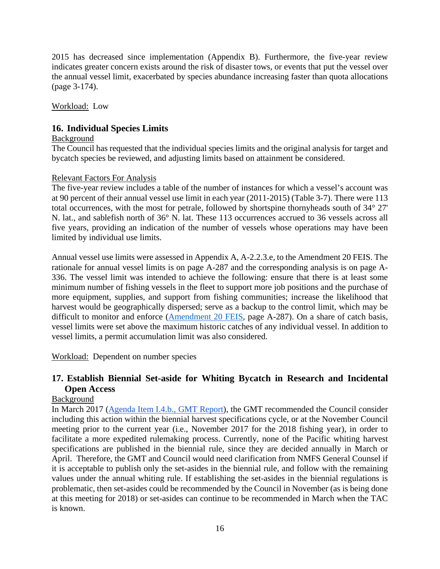2015 has decreased since implementation (Appendix B). Furthermore, the five-year review indicates greater concern exists around the risk of disaster tows, or events that put the vessel over the annual vessel limit, exacerbated by species abundance increasing faster than quota allocations (page 3-174).

Workload: Low

# <span id="page-15-0"></span>**16. Individual Species Limits**

### Background

The Council has requested that the individual species limits and the original analysis for target and bycatch species be reviewed, and adjusting limits based on attainment be considered.

### Relevant Factors For Analysis

The five-year review includes a table of the number of instances for which a vessel's account was at 90 percent of their annual vessel use limit in each year (2011-2015) (Table 3-7). There were 113 total occurrences, with the most for petrale, followed by shortspine thornyheads south of 34° 27' N. lat., and sablefish north of 36° N. lat. These 113 occurrences accrued to 36 vessels across all five years, providing an indication of the number of vessels whose operations may have been limited by individual use limits.

Annual vessel use limits were assessed in Appendix A, A-2.2.3.e, to the Amendment 20 FEIS. The rationale for annual vessel limits is on page A-287 and the corresponding analysis is on page A-336. The vessel limit was intended to achieve the following: ensure that there is at least some minimum number of fishing vessels in the fleet to support more job positions and the purchase of more equipment, supplies, and support from fishing communities; increase the likelihood that harvest would be geographically dispersed; serve as a backup to the control limit, which may be difficult to monitor and enforce [\(Amendment 20 FEIS,](https://www.pcouncil.org/wp-content/uploads/2_1005_TRatFEIS_ApdxA__IFQ.pdf) page A-287). On a share of catch basis, vessel limits were set above the maximum historic catches of any individual vessel. In addition to vessel limits, a permit accumulation limit was also considered.

Workload: Dependent on number species

# <span id="page-15-1"></span>**17. Establish Biennial Set-aside for Whiting Bycatch in Research and Incidental Open Access**

# Background

In March 2017 [\(Agenda Item I.4.b., GMT Report\)](http://www.pcouncil.org/wp-content/uploads/2017/02/I4b_GMT_Rpt_Mar2017BB.pdf), the GMT recommended the Council consider including this action within the biennial harvest specifications cycle, or at the November Council meeting prior to the current year (i.e., November 2017 for the 2018 fishing year), in order to facilitate a more expedited rulemaking process. Currently, none of the Pacific whiting harvest specifications are published in the biennial rule, since they are decided annually in March or April. Therefore, the GMT and Council would need clarification from NMFS General Counsel if it is acceptable to publish only the set-asides in the biennial rule, and follow with the remaining values under the annual whiting rule. If establishing the set-asides in the biennial regulations is problematic, then set-asides could be recommended by the Council in November (as is being done at this meeting for 2018) or set-asides can continue to be recommended in March when the TAC is known.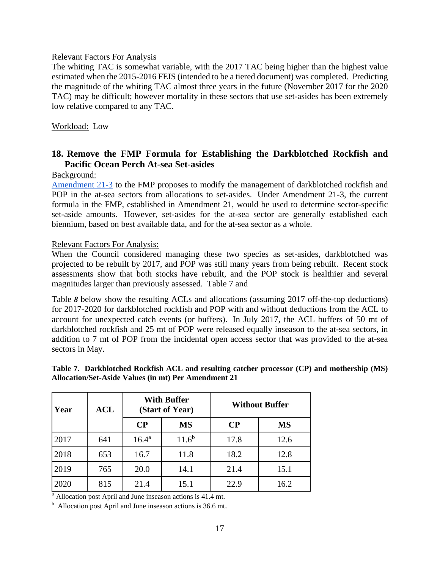#### Relevant Factors For Analysis

The whiting TAC is somewhat variable, with the 2017 TAC being higher than the highest value estimated when the 2015-2016 FEIS (intended to be a tiered document) was completed. Predicting the magnitude of the whiting TAC almost three years in the future (November 2017 for the 2020 TAC) may be difficult; however mortality in these sectors that use set-asides has been extremely low relative compared to any TAC.

#### Workload: Low

# <span id="page-16-0"></span>**18. Remove the FMP Formula for Establishing the Darkblotched Rockfish and Pacific Ocean Perch At-sea Set-asides**

### Background:

[Amendment 21-3](https://www.pcouncil.org/groundfish/fishery-management-plan/groundfish-amendments-in-development/#a21-3) to the FMP proposes to modify the management of darkblotched rockfish and POP in the at-sea sectors from allocations to set-asides. Under Amendment 21-3, the current formula in the FMP, established in Amendment 21, would be used to determine sector-specific set-aside amounts. However, set-asides for the at-sea sector are generally established each biennium, based on best available data, and for the at-sea sector as a whole.

#### Relevant Factors For Analysis:

When the Council considered managing these two species as set-asides, darkblotched was projected to be rebuilt by 2017, and POP was still many years from being rebuilt. Recent stock assessments show that both stocks have rebuilt, and the POP stock is healthier and several magnitudes larger than previously assessed. [Table 7](#page-16-1) and

[Table](#page-17-1) *8* below show the resulting ACLs and allocations (assuming 2017 of f-the-top deductions) for 2017-2020 for darkblotched rockfish and POP with and without deductions from the ACL to account for unexpected catch events (or buffers). In July 2017, the ACL buffers of 50 mt of darkblotched rockfish and 25 mt of POP were released equally inseason to the at-sea sectors, in addition to 7 mt of POP from the incidental open access sector that was provided to the at-sea sectors in May.

#### <span id="page-16-1"></span>**Table 7. Darkblotched Rockfish ACL and resulting catcher processor (CP) and mothership (MS) Allocation/Set-Aside Values (in mt) Per Amendment 21**

| Year | $\bf{ACL}$ |                | <b>With Buffer</b><br>(Start of Year) | <b>Without Buffer</b> |           |  |
|------|------------|----------------|---------------------------------------|-----------------------|-----------|--|
|      |            | $\bf CP$       | <b>MS</b>                             | $\bf CP$              | <b>MS</b> |  |
| 2017 | 641        | $16.4^{\rm a}$ | $11.6^{b}$                            | 17.8                  | 12.6      |  |
| 2018 | 653        | 16.7           | 11.8                                  | 18.2                  | 12.8      |  |
| 2019 | 765        | 20.0           | 14.1                                  | 21.4                  | 15.1      |  |
| 2020 | 815        | 21.4           | 15.1                                  | 22.9                  | 16.2      |  |

<sup>a</sup> Allocation post April and June inseason actions is 41.4 mt.

b Allocation post April and June inseason actions is 36.6 mt.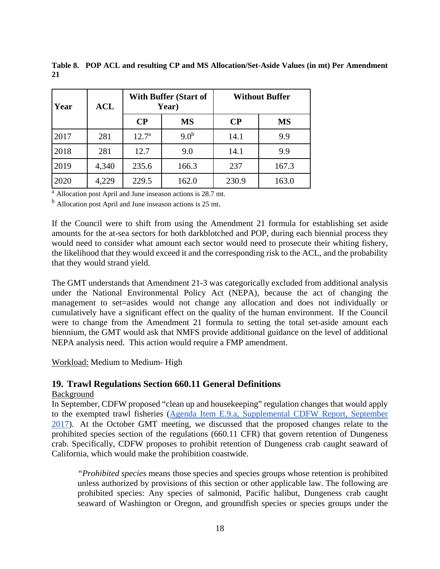| Year | <b>ACL</b> | <b>With Buffer (Start of</b><br>Year) |                  |          | <b>Without Buffer</b> |  |  |
|------|------------|---------------------------------------|------------------|----------|-----------------------|--|--|
|      |            | $\bf CP$                              | <b>MS</b>        | $\bf CP$ | <b>MS</b>             |  |  |
| 2017 | 281        | 12.7 <sup>a</sup>                     | 9.0 <sup>b</sup> | 14.1     | 9.9                   |  |  |
| 2018 | 281        | 12.7                                  | 9.0              | 14.1     | 9.9                   |  |  |
| 2019 | 4,340      | 235.6                                 | 166.3            | 237      | 167.3                 |  |  |
| 2020 | 4,229      | 229.5                                 | 162.0            | 230.9    | 163.0                 |  |  |

<span id="page-17-1"></span>**Table 8. POP ACL and resulting CP and MS Allocation/Set-Aside Values (in mt) Per Amendment 21**

<sup>a</sup> Allocation post April and June inseason actions is 28.7 mt.

<sup>b</sup> Allocation post April and June inseason actions is 25 mt.

If the Council were to shift from using the Amendment 21 formula for establishing set aside amounts for the at-sea sectors for both darkblotched and POP, during each biennial process they would need to consider what amount each sector would need to prosecute their whiting fishery, the likelihood that they would exceed it and the corresponding risk to the ACL, and the probability that they would strand yield.

The GMT understands that Amendment 21-3 was categorically excluded from additional analysis under the National Environmental Policy Act (NEPA), because the act of changing the management to set=asides would not change any allocation and does not individually or cumulatively have a significant effect on the quality of the human environment. If the Council were to change from the Amendment 21 formula to setting the total set-aside amount each biennium, the GMT would ask that NMFS provide additional guidance on the level of additional NEPA analysis need. This action would require a FMP amendment.

Workload: Medium to Medium- High

### <span id="page-17-0"></span>**19. Trawl Regulations Section 660.11 General Definitions**

#### Background

In September, CDFW proposed "clean up and housekeeping" regulation changes that would apply to the exempted trawl fisheries [\(Agenda Item E.9.a, Supplemental CDFW Report, September](https://www.pcouncil.org/wp-content/uploads/2017/09/E9a_Sup_CDFW_Rpt1_Spex_SEPT2017BB.pdf)  [2017\)](https://www.pcouncil.org/wp-content/uploads/2017/09/E9a_Sup_CDFW_Rpt1_Spex_SEPT2017BB.pdf). At the October GMT meeting, we discussed that the proposed changes relate to the prohibited species section of the regulations (660.11 CFR) that govern retention of Dungeness crab. Specifically, CDFW proposes to prohibit retention of Dungeness crab caught seaward of California, which would make the prohibition coastwide.

*"Prohibited species* means those species and species groups whose retention is prohibited unless authorized by provisions of this section or other applicable law. The following are prohibited species: Any species of salmonid, Pacific halibut, Dungeness crab caught seaward of Washington or Oregon, and groundfish species or species groups under the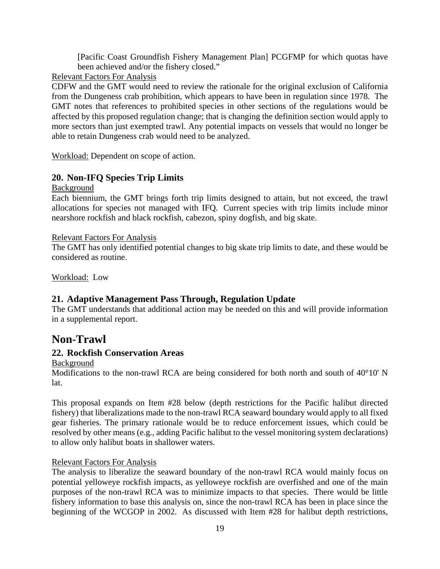[Pacific Coast Groundfish Fishery Management Plan] PCGFMP for which quotas have been achieved and/or the fishery closed."

# Relevant Factors For Analysis

CDFW and the GMT would need to review the rationale for the original exclusion of California from the Dungeness crab prohibition, which appears to have been in regulation since 1978. The GMT notes that references to prohibited species in other sections of the regulations would be affected by this proposed regulation change; that is changing the definition section would apply to more sectors than just exempted trawl. Any potential impacts on vessels that would no longer be able to retain Dungeness crab would need to be analyzed.

Workload: Dependent on scope of action.

# <span id="page-18-0"></span>**20. Non-IFQ Species Trip Limits**

### Background

Each biennium, the GMT brings forth trip limits designed to attain, but not exceed, the trawl allocations for species not managed with IFQ. Current species with trip limits include minor nearshore rockfish and black rockfish, cabezon, spiny dogfish, and big skate.

### Relevant Factors For Analysis

The GMT has only identified potential changes to big skate trip limits to date, and these would be considered as routine.

Workload: Low

# <span id="page-18-1"></span>**21. Adaptive Management Pass Through, Regulation Update**

The GMT understands that additional action may be needed on this and will provide information in a supplemental report.

# <span id="page-18-2"></span>**Non-Trawl**

# <span id="page-18-3"></span>**22. Rockfish Conservation Areas**

### Background

Modifications to the non-trawl RCA are being considered for both north and south of 40°10' N lat.

This proposal expands on Item #28 below (depth restrictions for the Pacific halibut directed fishery) that liberalizations made to the non-trawl RCA seaward boundary would apply to all fixed gear fisheries. The primary rationale would be to reduce enforcement issues, which could be resolved by other means (e.g., adding Pacific halibut to the vessel monitoring system declarations) to allow only halibut boats in shallower waters.

# Relevant Factors For Analysis

The analysis to liberalize the seaward boundary of the non-trawl RCA would mainly focus on potential yelloweye rockfish impacts, as yelloweye rockfish are overfished and one of the main purposes of the non-trawl RCA was to minimize impacts to that species. There would be little fishery information to base this analysis on, since the non-trawl RCA has been in place since the beginning of the WCGOP in 2002. As discussed with Item #28 for halibut depth restrictions,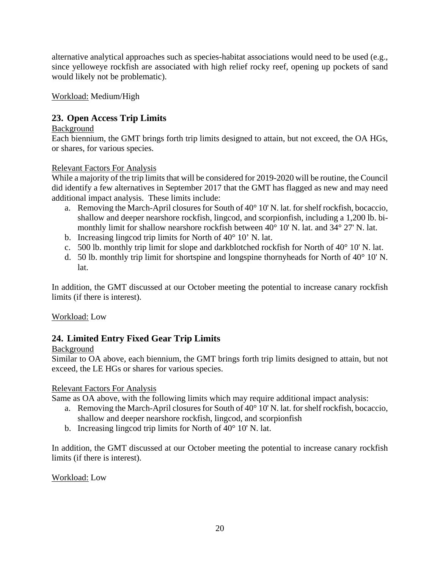alternative analytical approaches such as species-habitat associations would need to be used (e.g., since yelloweye rockfish are associated with high relief rocky reef, opening up pockets of sand would likely not be problematic).

Workload: Medium/High

# <span id="page-19-0"></span>**23. Open Access Trip Limits**

# Background

Each biennium, the GMT brings forth trip limits designed to attain, but not exceed, the OA HGs, or shares, for various species.

# Relevant Factors For Analysis

While a majority of the trip limits that will be considered for 2019-2020 will be routine, the Council did identify a few alternatives in September 2017 that the GMT has flagged as new and may need additional impact analysis. These limits include:

- a. Removing the March-April closures for South of 40° 10' N. lat. for shelf rockfish, bocaccio, shallow and deeper nearshore rockfish, lingcod, and scorpionfish, including a 1,200 lb. bimonthly limit for shallow nearshore rockfish between 40° 10' N. lat. and 34° 27' N. lat.
- b. Increasing lingcod trip limits for North of  $40^{\circ}$  10' N. lat.
- c. 500 lb. monthly trip limit for slope and darkblotched rockfish for North of 40° 10' N. lat.
- d. 50 lb. monthly trip limit for shortspine and longspine thornyheads for North of  $40^{\circ}$  10' N. lat.

In addition, the GMT discussed at our October meeting the potential to increase canary rockfish limits (if there is interest).

# Workload: Low

# <span id="page-19-1"></span>**24. Limited Entry Fixed Gear Trip Limits**

# Background

Similar to OA above, each biennium, the GMT brings forth trip limits designed to attain, but not exceed, the LE HGs or shares for various species.

# Relevant Factors For Analysis

Same as OA above, with the following limits which may require additional impact analysis:

- a. Removing the March-April closures for South of 40° 10' N. lat. for shelf rockfish, bocaccio, shallow and deeper nearshore rockfish, lingcod, and scorpionfish
- b. Increasing lingcod trip limits for North of 40° 10' N. lat.

In addition, the GMT discussed at our October meeting the potential to increase canary rockfish limits (if there is interest).

# Workload: Low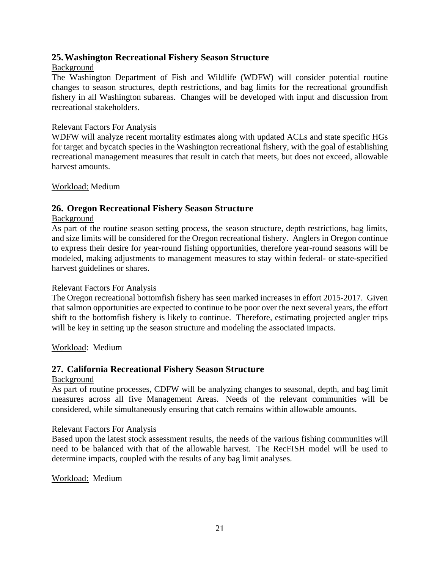# <span id="page-20-0"></span>**25.Washington Recreational Fishery Season Structure**

# Background

The Washington Department of Fish and Wildlife (WDFW) will consider potential routine changes to season structures, depth restrictions, and bag limits for the recreational groundfish fishery in all Washington subareas. Changes will be developed with input and discussion from recreational stakeholders.

### Relevant Factors For Analysis

WDFW will analyze recent mortality estimates along with updated ACLs and state specific HGs for target and bycatch species in the Washington recreational fishery, with the goal of establishing recreational management measures that result in catch that meets, but does not exceed, allowable harvest amounts.

Workload: Medium

# <span id="page-20-1"></span>**26. Oregon Recreational Fishery Season Structure**

### Background

As part of the routine season setting process, the season structure, depth restrictions, bag limits, and size limits will be considered for the Oregon recreational fishery. Anglers in Oregon continue to express their desire for year-round fishing opportunities, therefore year-round seasons will be modeled, making adjustments to management measures to stay within federal- or state-specified harvest guidelines or shares.

### Relevant Factors For Analysis

The Oregon recreational bottomfish fishery has seen marked increases in effort 2015-2017. Given that salmon opportunities are expected to continue to be poor over the next several years, the effort shift to the bottomfish fishery is likely to continue. Therefore, estimating projected angler trips will be key in setting up the season structure and modeling the associated impacts.

Workload: Medium

# <span id="page-20-2"></span>**27. California Recreational Fishery Season Structure**

### Background

As part of routine processes, CDFW will be analyzing changes to seasonal, depth, and bag limit measures across all five Management Areas. Needs of the relevant communities will be considered, while simultaneously ensuring that catch remains within allowable amounts.

### Relevant Factors For Analysis

Based upon the latest stock assessment results, the needs of the various fishing communities will need to be balanced with that of the allowable harvest. The RecFISH model will be used to determine impacts, coupled with the results of any bag limit analyses.

### Workload: Medium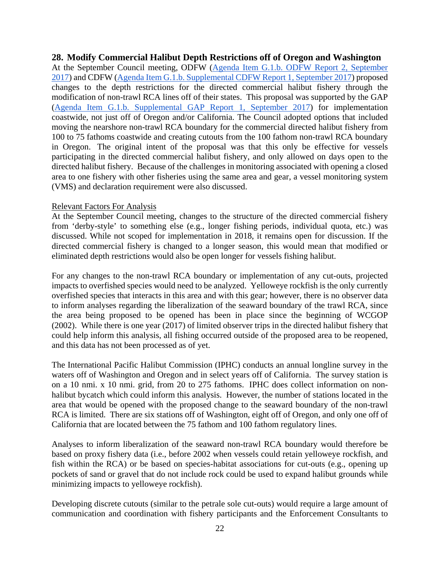### <span id="page-21-0"></span>**28. Modify Commercial Halibut Depth Restrictions off of Oregon and Washington**

At the September Council meeting, ODFW [\(Agenda Item G.1.b. ODFW Report 2, September](https://www.pcouncil.org/wp-content/uploads/2017/08/G1b_ODFW_Rpt2_SEPT2017BB.pdf)  [2017\)](https://www.pcouncil.org/wp-content/uploads/2017/08/G1b_ODFW_Rpt2_SEPT2017BB.pdf) and CDFW [\(Agenda Item G.1.b. Supplemental CDFW Report 1, September 2017\)](https://www.pcouncil.org/wp-content/uploads/2017/09/G1b_Sup_CDFW_Rpt1_SEPT2017BB.pdf) proposed changes to the depth restrictions for the directed commercial halibut fishery through the modification of non-trawl RCA lines off of their states. This proposal was supported by the GAP [\(Agenda Item G.1.b. Supplemental GAP Report 1, September 2017\)](https://www.pcouncil.org/wp-content/uploads/2017/09/G1b_Sup_GAP_Rpt1_withMinority_Halibut_SEPT2017BB.pdf) for implementation coastwide, not just off of Oregon and/or California. The Council adopted options that included moving the nearshore non-trawl RCA boundary for the commercial directed halibut fishery from 100 to 75 fathoms coastwide and creating cutouts from the 100 fathom non-trawl RCA boundary in Oregon. The original intent of the proposal was that this only be effective for vessels participating in the directed commercial halibut fishery, and only allowed on days open to the directed halibut fishery. Because of the challenges in monitoring associated with opening a closed area to one fishery with other fisheries using the same area and gear, a vessel monitoring system (VMS) and declaration requirement were also discussed.

#### Relevant Factors For Analysis

At the September Council meeting, changes to the structure of the directed commercial fishery from 'derby-style' to something else (e.g., longer fishing periods, individual quota, etc.) was discussed. While not scoped for implementation in 2018, it remains open for discussion. If the directed commercial fishery is changed to a longer season, this would mean that modified or eliminated depth restrictions would also be open longer for vessels fishing halibut.

For any changes to the non-trawl RCA boundary or implementation of any cut-outs, projected impacts to overfished species would need to be analyzed. Yelloweye rockfish is the only currently overfished species that interacts in this area and with this gear; however, there is no observer data to inform analyses regarding the liberalization of the seaward boundary of the trawl RCA, since the area being proposed to be opened has been in place since the beginning of WCGOP (2002). While there is one year (2017) of limited observer trips in the directed halibut fishery that could help inform this analysis, all fishing occurred outside of the proposed area to be reopened, and this data has not been processed as of yet.

The International Pacific Halibut Commission (IPHC) conducts an annual longline survey in the waters off of Washington and Oregon and in select years off of California. The survey station is on a 10 nmi. x 10 nmi. grid, from 20 to 275 fathoms. IPHC does collect information on nonhalibut bycatch which could inform this analysis. However, the number of stations located in the area that would be opened with the proposed change to the seaward boundary of the non-trawl RCA is limited. There are six stations off of Washington, eight off of Oregon, and only one off of California that are located between the 75 fathom and 100 fathom regulatory lines.

Analyses to inform liberalization of the seaward non-trawl RCA boundary would therefore be based on proxy fishery data (i.e., before 2002 when vessels could retain yelloweye rockfish, and fish within the RCA) or be based on species-habitat associations for cut-outs (e.g., opening up pockets of sand or gravel that do not include rock could be used to expand halibut grounds while minimizing impacts to yelloweye rockfish).

Developing discrete cutouts (similar to the petrale sole cut-outs) would require a large amount of communication and coordination with fishery participants and the Enforcement Consultants to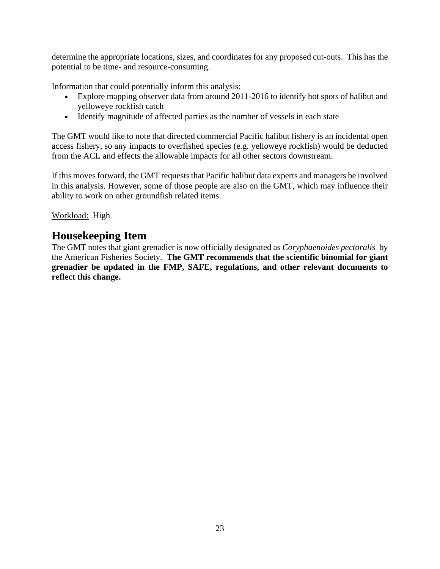determine the appropriate locations, sizes, and coordinates for any proposed cut-outs. This has the potential to be time- and resource-consuming.

Information that could potentially inform this analysis:

- Explore mapping observer data from around 2011-2016 to identify hot spots of halibut and yelloweye rockfish catch
- Identify magnitude of affected parties as the number of vessels in each state

The GMT would like to note that directed commercial Pacific halibut fishery is an incidental open access fishery, so any impacts to overfished species (e.g. yelloweye rockfish) would be deducted from the ACL and effects the allowable impacts for all other sectors downstream.

If this moves forward, the GMT requests that Pacific halibut data experts and managers be involved in this analysis. However, some of those people are also on the GMT, which may influence their ability to work on other groundfish related items.

# <span id="page-22-0"></span>Workload: High

# **Housekeeping Item**

The GMT notes that giant grenadier is now officially designated as *Coryphaenoides pectoralis* by the American Fisheries Society. **The GMT recommends that the scientific binomial for giant grenadier be updated in the FMP, SAFE, regulations, and other relevant documents to reflect this change.**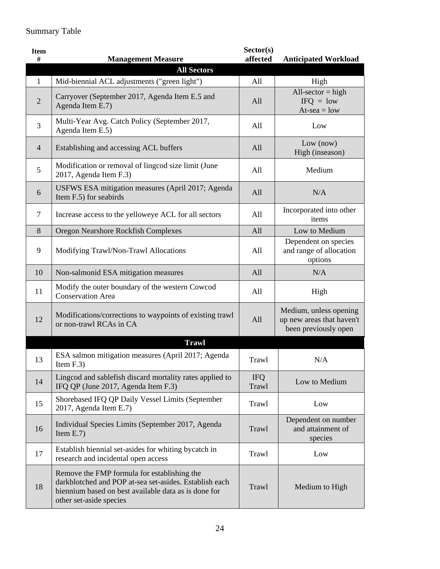# Summary Table

| <b>Item</b><br># | <b>Management Measure</b>                                                                                                                                                                | Sector(s)<br>affected | <b>Anticipated Workload</b>                                                 |
|------------------|------------------------------------------------------------------------------------------------------------------------------------------------------------------------------------------|-----------------------|-----------------------------------------------------------------------------|
|                  | <b>All Sectors</b>                                                                                                                                                                       |                       |                                                                             |
| $\mathbf{1}$     | Mid-biennial ACL adjustments ("green light")                                                                                                                                             | All                   | High                                                                        |
| $\overline{2}$   | Carryover (September 2017, Agenda Item E.5 and<br>Agenda Item E.7)                                                                                                                       | All                   | All-sector = high<br>$IFQ = low$<br>$At-sea = low$                          |
| 3                | Multi-Year Avg. Catch Policy (September 2017,<br>Agenda Item E.5)                                                                                                                        | All                   | Low                                                                         |
| $\overline{4}$   | Establishing and accessing ACL buffers                                                                                                                                                   | All                   | Low (now)<br>High (inseason)                                                |
| 5                | Modification or removal of lingcod size limit (June<br>2017, Agenda Item F.3)                                                                                                            | All                   | Medium                                                                      |
| 6                | USFWS ESA mitigation measures (April 2017; Agenda<br>Item F.5) for seabirds                                                                                                              | All                   | N/A                                                                         |
| 7                | Increase access to the yelloweye ACL for all sectors                                                                                                                                     | All                   | Incorporated into other<br>items                                            |
| 8                | Oregon Nearshore Rockfish Complexes                                                                                                                                                      | All                   | Low to Medium                                                               |
| 9                | Modifying Trawl/Non-Trawl Allocations                                                                                                                                                    | All                   | Dependent on species<br>and range of allocation<br>options                  |
| 10               | Non-salmonid ESA mitigation measures                                                                                                                                                     | All                   | N/A                                                                         |
| 11               | Modify the outer boundary of the western Cowcod<br><b>Conservation Area</b>                                                                                                              | All                   | High                                                                        |
| 12               | Modifications/corrections to waypoints of existing trawl<br>or non-trawl RCAs in CA                                                                                                      | All                   | Medium, unless opening<br>up new areas that haven't<br>been previously open |
|                  | <b>Trawl</b>                                                                                                                                                                             |                       |                                                                             |
| 13               | ESA salmon mitigation measures (April 2017; Agenda<br>Item $F.3$ )                                                                                                                       | Trawl                 | N/A                                                                         |
| 14               | Lingcod and sablefish discard mortality rates applied to<br>IFQ QP (June 2017, Agenda Item F.3)                                                                                          | <b>IFQ</b><br>Trawl   | Low to Medium                                                               |
| 15               | Shorebased IFQ QP Daily Vessel Limits (September<br>2017, Agenda Item E.7)                                                                                                               | Trawl                 | Low                                                                         |
| 16               | Individual Species Limits (September 2017, Agenda<br>Item $E.7$ )                                                                                                                        | Trawl                 | Dependent on number<br>and attainment of<br>species                         |
| 17               | Establish biennial set-asides for whiting bycatch in<br>research and incidental open access                                                                                              | Trawl                 | Low                                                                         |
| 18               | Remove the FMP formula for establishing the<br>darkblotched and POP at-sea set-asides. Establish each<br>biennium based on best available data as is done for<br>other set-aside species | Trawl                 | Medium to High                                                              |